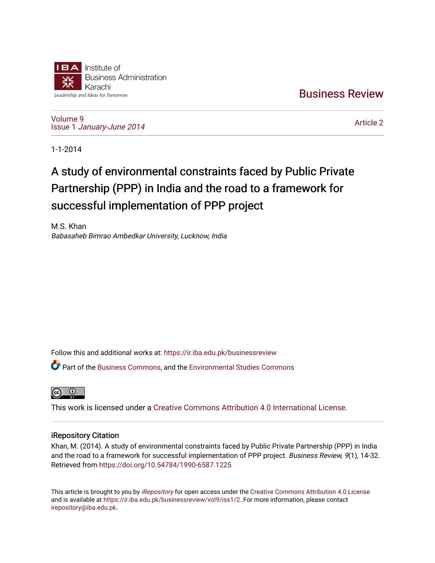

[Business Review](https://ir.iba.edu.pk/businessreview) 

[Volume 9](https://ir.iba.edu.pk/businessreview/vol9) Issue 1 [January-June 2014](https://ir.iba.edu.pk/businessreview/vol9/iss1) 

[Article 2](https://ir.iba.edu.pk/businessreview/vol9/iss1/2) 

1-1-2014

# A study of environmental constraints faced by Public Private Partnership (PPP) in India and the road to a framework for successful implementation of PPP project

M.S. Khan Babasaheb Bimrao Ambedkar University, Lucknow, India

Follow this and additional works at: [https://ir.iba.edu.pk/businessreview](https://ir.iba.edu.pk/businessreview?utm_source=ir.iba.edu.pk%2Fbusinessreview%2Fvol9%2Fiss1%2F2&utm_medium=PDF&utm_campaign=PDFCoverPages) 

Part of the [Business Commons](http://network.bepress.com/hgg/discipline/622?utm_source=ir.iba.edu.pk%2Fbusinessreview%2Fvol9%2Fiss1%2F2&utm_medium=PDF&utm_campaign=PDFCoverPages), and the [Environmental Studies Commons](http://network.bepress.com/hgg/discipline/1333?utm_source=ir.iba.edu.pk%2Fbusinessreview%2Fvol9%2Fiss1%2F2&utm_medium=PDF&utm_campaign=PDFCoverPages)



This work is licensed under a [Creative Commons Attribution 4.0 International License](https://creativecommons.org/licenses/by/4.0/).

# iRepository Citation

Khan, M. (2014). A study of environmental constraints faced by Public Private Partnership (PPP) in India and the road to a framework for successful implementation of PPP project. Business Review, 9(1), 14-32. Retrieved from <https://doi.org/10.54784/1990-6587.1225>

This article is brought to you by [iRepository](https://ir.iba.edu.pk/) for open access under the Creative Commons Attribution 4.0 License and is available at [https://ir.iba.edu.pk/businessreview/vol9/iss1/2.](https://ir.iba.edu.pk/businessreview/vol9/iss1/2) For more information, please contact [irepository@iba.edu.pk.](mailto:irepository@iba.edu.pk)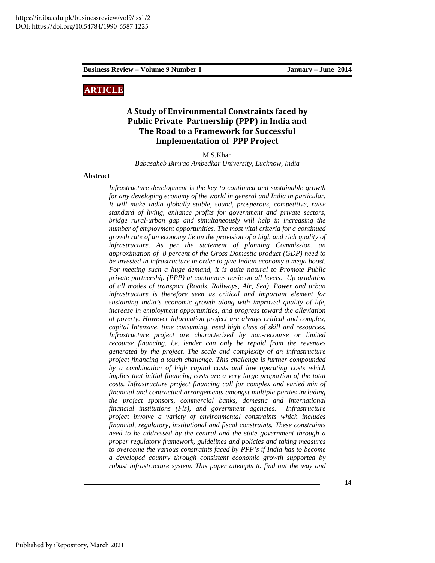## **ARTICLE**

# **A Study of Environmental Constraints faced by Public Private Partnership (PPP) in India and The Road to a Framework for Successful Implementation of PPP Project**

M.S.Khan

*Babasaheb Bimrao Ambedkar University, Lucknow, India* 

#### **Abstract**

*Infrastructure development is the key to continued and sustainable growth for any developing economy of the world in general and India in particular. It will make India globally stable, sound, prosperous, competitive, raise standard of living, enhance profits for government and private sectors, bridge rural-urban gap and simultaneously will help in increasing the number of employment opportunities. The most vital criteria for a continued growth rate of an economy lie on the provision of a high and rich quality of infrastructure. As per the statement of planning Commission, an approximation of 8 percent of the Gross Domestic product (GDP) need to be invested in infrastructure in order to give Indian economy a mega boost. For meeting such a huge demand, it is quite natural to Promote Public private partnership (PPP) at continuous basic on all levels. Up gradation of all modes of transport (Roads, Railways, Air, Sea), Power and urban infrastructure is therefore seen as critical and important element for sustaining India's economic growth along with improved quality of life, increase in employment opportunities, and progress toward the alleviation of poverty. However information project are always critical and complex, capital Intensive, time consuming, need high class of skill and resources. Infrastructure project are characterized by non-recourse or limited recourse financing, i.e. lender can only be repaid from the revenues generated by the project. The scale and complexity of an infrastructure project financing a touch challenge. This challenge is further compounded by a combination of high capital costs and low operating costs which implies that initial financing costs are a very large proportion of the total costs. Infrastructure project financing call for complex and varied mix of financial and contractual arrangements amongst multiple parties including the project sponsors, commercial banks, domestic and international financial institutions (Fls), and government agencies. Infrastructure project involve a variety of environmental constraints which includes financial, regulatory, institutional and fiscal constraints. These constraints need to be addressed by the central and the state government through a proper regulatory framework, guidelines and policies and taking measures to overcome the various constraints faced by PPP's if India has to become a developed country through consistent economic growth supported by robust infrastructure system. This paper attempts to find out the way and*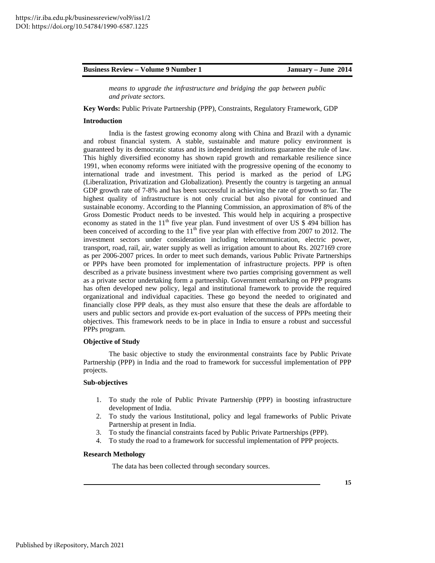*means to upgrade the infrastructure and bridging the gap between public and private sectors.* 

**Key Words:** Public Private Partnership (PPP), Constraints, Regulatory Framework, GDP

#### **Introduction**

 India is the fastest growing economy along with China and Brazil with a dynamic and robust financial system. A stable, sustainable and mature policy environment is guaranteed by its democratic status and its independent institutions guarantee the rule of law. This highly diversified economy has shown rapid growth and remarkable resilience since 1991, when economy reforms were initiated with the progressive opening of the economy to international trade and investment. This period is marked as the period of LPG (Liberalization, Privatization and Globalization). Presently the country is targeting an annual GDP growth rate of 7-8% and has been successful in achieving the rate of growth so far. The highest quality of infrastructure is not only crucial but also pivotal for continued and sustainable economy. According to the Planning Commission, an approximation of 8% of the Gross Domestic Product needs to be invested. This would help in acquiring a prospective economy as stated in the  $11<sup>th</sup>$  five year plan. Fund investment of over US \$ 494 billion has been conceived of according to the  $11<sup>th</sup>$  five year plan with effective from 2007 to 2012. The investment sectors under consideration including telecommunication, electric power, transport, road, rail, air, water supply as well as irrigation amount to about Rs. 2027169 crore as per 2006-2007 prices. In order to meet such demands, various Public Private Partnerships or PPPs have been promoted for implementation of infrastructure projects. PPP is often described as a private business investment where two parties comprising government as well as a private sector undertaking form a partnership. Government embarking on PPP programs has often developed new policy, legal and institutional framework to provide the required organizational and individual capacities. These go beyond the needed to originated and financially close PPP deals, as they must also ensure that these the deals are affordable to users and public sectors and provide ex-port evaluation of the success of PPPs meeting their objectives. This framework needs to be in place in India to ensure a robust and successful PPPs program.

#### **Objective of Study**

 The basic objective to study the environmental constraints face by Public Private Partnership (PPP) in India and the road to framework for successful implementation of PPP projects.

#### **Sub-objectives**

- 1. To study the role of Public Private Partnership (PPP) in boosting infrastructure development of India.
- 2. To study the various Institutional, policy and legal frameworks of Public Private Partnership at present in India.
- 3. To study the financial constraints faced by Public Private Partnerships (PPP).
- 4. To study the road to a framework for successful implementation of PPP projects.

#### **Research Methology**

The data has been collected through secondary sources.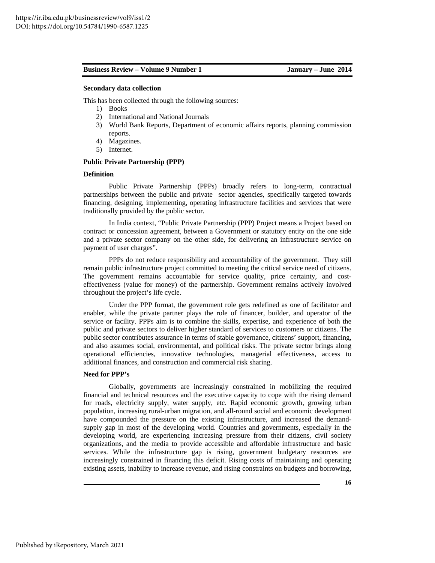#### **Secondary data collection**

This has been collected through the following sources:

- 1) Books
- 2) International and National Journals
- 3) World Bank Reports, Department of economic affairs reports, planning commission reports.
- 4) Magazines.
- 5) Internet.

#### **Public Private Partnership (PPP)**

#### **Definition**

 Public Private Partnership (PPPs) broadly refers to long-term, contractual partnerships between the public and private sector agencies, specifically targeted towards financing, designing, implementing, operating infrastructure facilities and services that were traditionally provided by the public sector.

 In India context, "Public Private Partnership (PPP) Project means a Project based on contract or concession agreement, between a Government or statutory entity on the one side and a private sector company on the other side, for delivering an infrastructure service on payment of user charges".

 PPPs do not reduce responsibility and accountability of the government. They still remain public infrastructure project committed to meeting the critical service need of citizens. The government remains accountable for service quality, price certainty, and costeffectiveness (value for money) of the partnership. Government remains actively involved throughout the project's life cycle.

 Under the PPP format, the government role gets redefined as one of facilitator and enabler, while the private partner plays the role of financer, builder, and operator of the service or facility. PPPs aim is to combine the skills, expertise, and experience of both the public and private sectors to deliver higher standard of services to customers or citizens. The public sector contributes assurance in terms of stable governance, citizens' support, financing, and also assumes social, environmental, and political risks. The private sector brings along operational efficiencies, innovative technologies, managerial effectiveness, access to additional finances, and construction and commercial risk sharing.

#### **Need for PPP's**

 Globally, governments are increasingly constrained in mobilizing the required financial and technical resources and the executive capacity to cope with the rising demand for roads, electricity supply, water supply, etc. Rapid economic growth, growing urban population, increasing rural-urban migration, and all-round social and economic development have compounded the pressure on the existing infrastructure, and increased the demandsupply gap in most of the developing world. Countries and governments, especially in the developing world, are experiencing increasing pressure from their citizens, civil society organizations, and the media to provide accessible and affordable infrastructure and basic services. While the infrastructure gap is rising, government budgetary resources are increasingly constrained in financing this deficit. Rising costs of maintaining and operating existing assets, inability to increase revenue, and rising constraints on budgets and borrowing,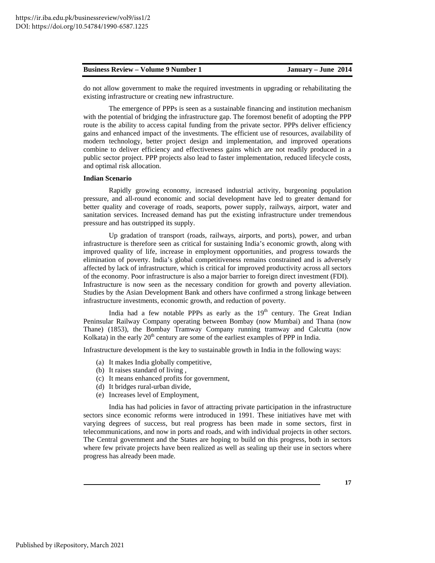do not allow government to make the required investments in upgrading or rehabilitating the existing infrastructure or creating new infrastructure.

 The emergence of PPPs is seen as a sustainable financing and institution mechanism with the potential of bridging the infrastructure gap. The foremost benefit of adopting the PPP route is the ability to access capital funding from the private sector. PPPs deliver efficiency gains and enhanced impact of the investments. The efficient use of resources, availability of modern technology, better project design and implementation, and improved operations combine to deliver efficiency and effectiveness gains which are not readily produced in a public sector project. PPP projects also lead to faster implementation, reduced lifecycle costs, and optimal risk allocation.

#### **Indian Scenario**

 Rapidly growing economy, increased industrial activity, burgeoning population pressure, and all-round economic and social development have led to greater demand for better quality and coverage of roads, seaports, power supply, railways, airport, water and sanitation services. Increased demand has put the existing infrastructure under tremendous pressure and has outstripped its supply.

 Up gradation of transport (roads, railways, airports, and ports), power, and urban infrastructure is therefore seen as critical for sustaining India's economic growth, along with improved quality of life, increase in employment opportunities, and progress towards the elimination of poverty. India's global competitiveness remains constrained and is adversely affected by lack of infrastructure, which is critical for improved productivity across all sectors of the economy. Poor infrastructure is also a major barrier to foreign direct investment (FDI). Infrastructure is now seen as the necessary condition for growth and poverty alleviation. Studies by the Asian Development Bank and others have confirmed a strong linkage between infrastructure investments, economic growth, and reduction of poverty.

India had a few notable PPPs as early as the  $19<sup>th</sup>$  century. The Great Indian Peninsular Railway Company operating between Bombay (now Mumbai) and Thana (now Thane) (1853), the Bombay Tramway Company running tramway and Calcutta (now Kolkata) in the early  $20<sup>th</sup>$  century are some of the earliest examples of PPP in India.

Infrastructure development is the key to sustainable growth in India in the following ways:

- (a) It makes India globally competitive,
- (b) It raises standard of living ,
- (c) It means enhanced profits for government,
- (d) It bridges rural-urban divide,
- (e) Increases level of Employment,

 India has had policies in favor of attracting private participation in the infrastructure sectors since economic reforms were introduced in 1991. These initiatives have met with varying degrees of success, but real progress has been made in some sectors, first in telecommunications, and now in ports and roads, and with individual projects in other sectors. The Central government and the States are hoping to build on this progress, both in sectors where few private projects have been realized as well as sealing up their use in sectors where progress has already been made.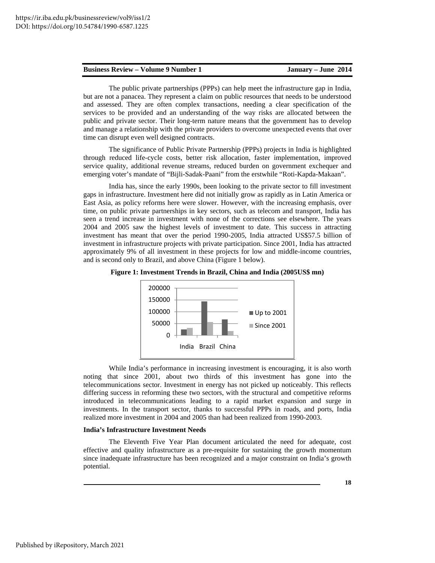|  | <b>Business Review – Volume 9 Number 1</b> |
|--|--------------------------------------------|
|--|--------------------------------------------|

 The public private partnerships (PPPs) can help meet the infrastructure gap in India, but are not a panacea. They represent a claim on public resources that needs to be understood and assessed. They are often complex transactions, needing a clear specification of the services to be provided and an understanding of the way risks are allocated between the public and private sector. Their long-term nature means that the government has to develop and manage a relationship with the private providers to overcome unexpected events that over time can disrupt even well designed contracts.

 The significance of Public Private Partnership (PPPs) projects in India is highlighted through reduced life-cycle costs, better risk allocation, faster implementation, improved service quality, additional revenue streams, reduced burden on government exchequer and emerging voter's mandate of "Bijli-Sadak-Paani" from the erstwhile "Roti-Kapda-Makaan".

 India has, since the early 1990s, been looking to the private sector to fill investment gaps in infrastructure. Investment here did not initially grow as rapidly as in Latin America or East Asia, as policy reforms here were slower. However, with the increasing emphasis, over time, on public private partnerships in key sectors, such as telecom and transport, India has seen a trend increase in investment with none of the corrections see elsewhere. The years 2004 and 2005 saw the highest levels of investment to date. This success in attracting investment has meant that over the period 1990-2005, India attracted US\$57.5 billion of investment in infrastructure projects with private participation. Since 2001, India has attracted approximately 9% of all investment in these projects for low and middle-income countries, and is second only to Brazil, and above China (Figure 1 below).





 While India's performance in increasing investment is encouraging, it is also worth noting that since 2001, about two thirds of this investment has gone into the telecommunications sector. Investment in energy has not picked up noticeably. This reflects differing success in reforming these two sectors, with the structural and competitive reforms introduced in telecommunications leading to a rapid market expansion and surge in investments. In the transport sector, thanks to successful PPPs in roads, and ports, India realized more investment in 2004 and 2005 than had been realized from 1990-2003.

#### **India's Infrastructure Investment Needs**

 The Eleventh Five Year Plan document articulated the need for adequate, cost effective and quality infrastructure as a pre-requisite for sustaining the growth momentum since inadequate infrastructure has been recognized and a major constraint on India's growth potential.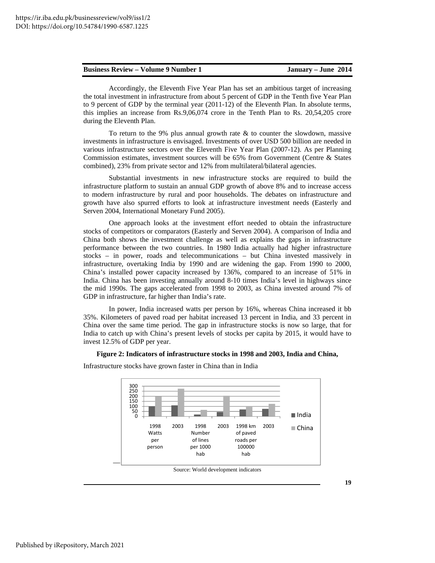Accordingly, the Eleventh Five Year Plan has set an ambitious target of increasing the total investment in infrastructure from about 5 percent of GDP in the Tenth five Year Plan to 9 percent of GDP by the terminal year (2011-12) of the Eleventh Plan. In absolute terms, this implies an increase from Rs.9,06,074 crore in the Tenth Plan to Rs. 20,54,205 crore during the Eleventh Plan.

To return to the 9% plus annual growth rate  $&$  to counter the slowdown, massive investments in infrastructure is envisaged. Investments of over USD 500 billion are needed in various infrastructure sectors over the Eleventh Five Year Plan (2007-12). As per Planning Commission estimates, investment sources will be 65% from Government (Centre & States combined), 23% from private sector and 12% from multilateral/bilateral agencies.

 Substantial investments in new infrastructure stocks are required to build the infrastructure platform to sustain an annual GDP growth of above 8% and to increase access to modern infrastructure by rural and poor households. The debates on infrastructure and growth have also spurred efforts to look at infrastructure investment needs (Easterly and Serven 2004, International Monetary Fund 2005).

 One approach looks at the investment effort needed to obtain the infrastructure stocks of competitors or comparators (Easterly and Serven 2004). A comparison of India and China both shows the investment challenge as well as explains the gaps in infrastructure performance between the two countries. In 1980 India actually had higher infrastructure stocks – in power, roads and telecommunications – but China invested massively in infrastructure, overtaking India by 1990 and are widening the gap. From 1990 to 2000, China's installed power capacity increased by 136%, compared to an increase of 51% in India. China has been investing annually around 8-10 times India's level in highways since the mid 1990s. The gaps accelerated from 1998 to 2003, as China invested around 7% of GDP in infrastructure, far higher than India's rate.

 In power, India increased watts per person by 16%, whereas China increased it bb 35%. Kilometers of paved road per habitat increased 13 percent in India, and 33 percent in China over the same time period. The gap in infrastructure stocks is now so large, that for India to catch up with China's present levels of stocks per capita by 2015, it would have to invest 12.5% of GDP per year.

#### **Figure 2: Indicators of infrastructure stocks in 1998 and 2003, India and China,**



Infrastructure stocks have grown faster in China than in India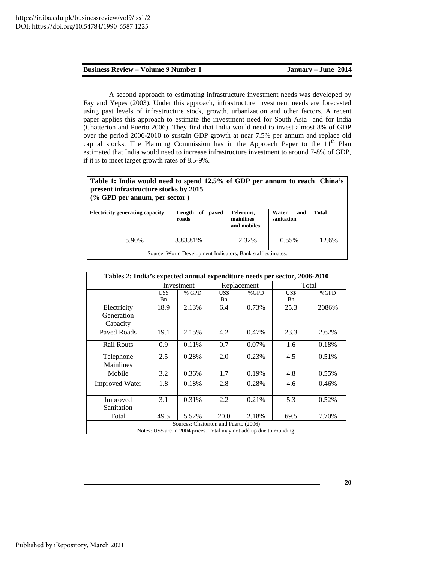A second approach to estimating infrastructure investment needs was developed by Fay and Yepes (2003). Under this approach, infrastructure investment needs are forecasted using past levels of infrastructure stock, growth, urbanization and other factors. A recent paper applies this approach to estimate the investment need for South Asia and for India (Chatterton and Puerto 2006). They find that India would need to invest almost 8% of GDP over the period 2006-2010 to sustain GDP growth at near 7.5% per annum and replace old capital stocks. The Planning Commission has in the Approach Paper to the  $11<sup>th</sup>$  Plan estimated that India would need to increase infrastructure investment to around 7-8% of GDP, if it is to meet target growth rates of 8.5-9%.

| Table 1: India would need to spend 12.5% of GDP per annum to reach China's<br>present infrastructure stocks by 2015<br>$(\%$ GPD per annum, per sector) |                             |                                       |                            |       |  |  |  |  |
|---------------------------------------------------------------------------------------------------------------------------------------------------------|-----------------------------|---------------------------------------|----------------------------|-------|--|--|--|--|
| <b>Electricity generating capacity</b>                                                                                                                  | paved<br>Length of<br>roads | Telecoms,<br>mainlines<br>and mobiles | Water<br>and<br>sanitation | Total |  |  |  |  |
| 5.90%                                                                                                                                                   | 3.83.81%                    | 2.32%                                 | $0.55\%$                   | 12.6% |  |  |  |  |
| Source: World Development Indicators, Bank staff estimates.                                                                                             |                             |                                       |                            |       |  |  |  |  |

| Tables 2: India's expected annual expenditure needs per sector, 2006-2010                                      |            |       |             |       |                    |          |  |  |
|----------------------------------------------------------------------------------------------------------------|------------|-------|-------------|-------|--------------------|----------|--|--|
|                                                                                                                | Investment |       | Replacement |       | Total              |          |  |  |
|                                                                                                                | US\$<br>Bn | % GPD | US\$<br>Bn  | %GPD  | US\$<br><b>B</b> n | %GPD     |  |  |
| Electricity<br>Generation<br>Capacity                                                                          | 18.9       | 2.13% | 6.4         | 0.73% | 25.3               | 2086%    |  |  |
| Paved Roads                                                                                                    | 19.1       | 2.15% | 4.2         | 0.47% | 23.3               | 2.62%    |  |  |
| <b>Rail Routs</b>                                                                                              | 0.9        | 0.11% | 0.7         | 0.07% | 1.6                | 0.18%    |  |  |
| Telephone<br>Mainlines                                                                                         | 2.5        | 0.28% | 2.0         | 0.23% | 4.5                | 0.51%    |  |  |
| Mobile                                                                                                         | 3.2        | 0.36% | 1.7         | 0.19% | 4.8                | $0.55\%$ |  |  |
| <b>Improved Water</b>                                                                                          | 1.8        | 0.18% | 2.8         | 0.28% | 4.6                | 0.46%    |  |  |
| Improved<br>Sanitation                                                                                         | 3.1        | 0.31% | 2.2         | 0.21% | 5.3                | 0.52%    |  |  |
| Total                                                                                                          | 49.5       | 5.52% | 20.0        | 2.18% | 69.5               | 7.70%    |  |  |
| Sources: Chatterton and Puerto (2006)<br>Notes: US\$ are in 2004 prices. Total may not add up due to rounding. |            |       |             |       |                    |          |  |  |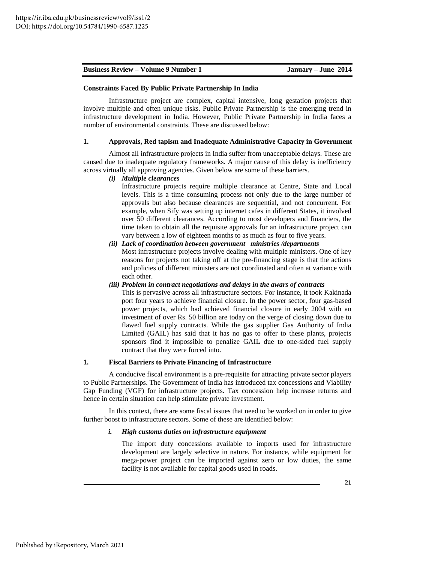#### **Constraints Faced By Public Private Partnership In India**

 Infrastructure project are complex, capital intensive, long gestation projects that involve multiple and often unique risks. Public Private Partnership is the emerging trend in infrastructure development in India. However, Public Private Partnership in India faces a number of environmental constraints. These are discussed below:

### **1. Approvals, Red tapism and Inadequate Administrative Capacity in Government**

 Almost all infrastructure projects in India suffer from unacceptable delays. These are caused due to inadequate regulatory frameworks. A major cause of this delay is inefficiency across virtually all approving agencies. Given below are some of these barriers.

#### *(i) Multiple clearances*

 Infrastructure projects require multiple clearance at Centre, State and Local levels. This is a time consuming process not only due to the large number of approvals but also because clearances are sequential, and not concurrent. For example, when Sify was setting up internet cafes in different States, it involved over 50 different clearances. According to most developers and financiers, the time taken to obtain all the requisite approvals for an infrastructure project can vary between a low of eighteen months to as much as four to five years.

# *(ii) Lack of coordination between government ministries /departments*

Most infrastructure projects involve dealing with multiple ministers. One of key reasons for projects not taking off at the pre-financing stage is that the actions and policies of different ministers are not coordinated and often at variance with each other.

#### *(iii) Problem in contract negotiations and delays in the awars of contracts*

This is pervasive across all infrastructure sectors. For instance, it took Kakinada port four years to achieve financial closure. In the power sector, four gas-based power projects, which had achieved financial closure in early 2004 with an investment of over Rs. 50 billion are today on the verge of closing down due to flawed fuel supply contracts. While the gas supplier Gas Authority of India Limited (GAIL) has said that it has no gas to offer to these plants, projects sponsors find it impossible to penalize GAIL due to one-sided fuel supply contract that they were forced into.

#### **1. Fiscal Barriers to Private Financing of Infrastructure**

 A conducive fiscal environment is a pre-requisite for attracting private sector players to Public Partnerships. The Government of India has introduced tax concessions and Viability Gap Funding (VGF) for infrastructure projects. Tax concession help increase returns and hence in certain situation can help stimulate private investment.

 In this context, there are some fiscal issues that need to be worked on in order to give further boost to infrastructure sectors. Some of these are identified below:

#### *i. High customs duties on infrastructure equipment*

 The import duty concessions available to imports used for infrastructure development are largely selective in nature. For instance, while equipment for mega-power project can be imported against zero or low duties, the same facility is not available for capital goods used in roads.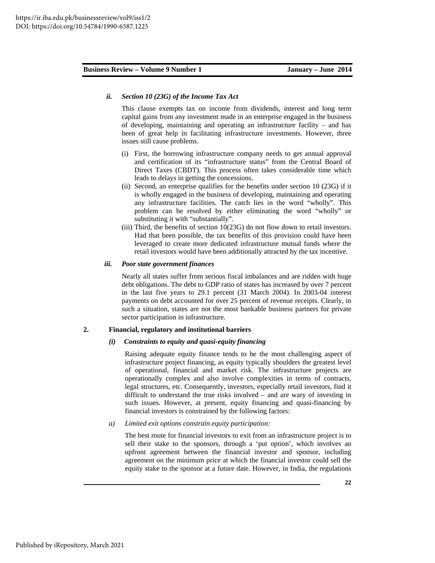#### *ii. Section 10 (23G) of the Income Tax Act*

 This clause exempts tax on income from dividends, interest and long term capital gains from any investment made in an enterprise engaged in the business of developing, maintaining and operating an infrastructure facility – and has been of great help in facilitating infrastructure investments. However, three issues still cause problems.

- (i) First, the borrowing infrastructure company needs to get annual approval and certification of its "infrastructure status" from the Central Board of Direct Taxes (CBDT). This process often takes considerable time which leads to delays in getting the concessions.
- (ii) Second, an enterprise qualifies for the benefits under section 10 (23G) if it is wholly engaged in the business of developing, maintaining and operating any infrastructure facilities. The catch lies in the word "wholly". This problem can be resolved by either eliminating the word "wholly" or substituting it with "substantially".
- (iii) Third, the benefits of section 10(23G) do not flow down to retail investors. Had that been possible, the tax benefits of this provision could have been leveraged to create more dedicated infrastructure mutual funds where the retail investors would have been additionally attracted by the tax incentive.

#### *iii. Poor state government finances*

 Nearly all states suffer from serious fiscal imbalances and are ridden with huge debt obligations. The debt to GDP ratio of states has increased by over 7 percent in the last five years to 29.1 percent (31 March 2004). In 2003-04 interest payments on debt accounted for over 25 percent of revenue receipts. Clearly, in such a situation, states are not the most bankable business partners for private sector participation in infrastructure.

#### **2. Financial, regulatory and institutional barriers**

#### *(i) Constraints to equity and quasi-equity financing*  $(i)$

 Raising adequate equity finance tends to be the most challenging aspect of infrastructure project financing, as equity typically shoulders the greatest level of operational, financial and market risk. The infrastructure projects are operationally complex and also involve complexities in terms of contracts, legal structures, etc. Consequently, investors, especially retail investors, find it difficult to understand the true risks involved – and are wary of investing in such issues. However, at present, equity financing and quasi-financing by financial investors is constrained by the following factors:

#### *a) Limited exit options constrain equity participation:*

 The best route for financial investors to exit from an infrastructure project is to sell their stake to the sponsors, through a 'put option', which involves an upfront agreement between the financial investor and sponsor, including agreement on the minimum price at which the financial investor could sell the equity stake to the sponsor at a future date. However, in India, the regulations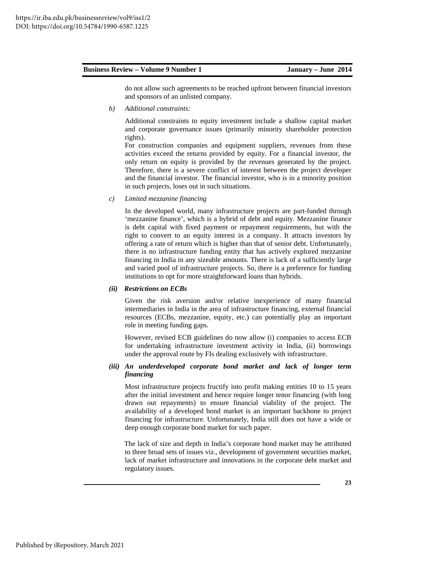do not allow such agreements to be reached upfront between financial investors and sponsors of an unlisted company.

*b) Additional constraints:* 

 Additional constraints to equity investment include a shallow capital market and corporate governance issues (primarily minority shareholder protection rights).

 For construction companies and equipment suppliers, revenues from these activities exceed the returns provided by equity. For a financial investor, the only return on equity is provided by the revenues generated by the project. Therefore, there is a severe conflict of interest between the project developer and the financial investor. The financial investor, who is in a minority position in such projects, loses out in such situations.

*c) Limited mezzanine financing* 

 In the developed world, many infrastructure projects are part-funded through 'mezzanine finance', which is a hybrid of debt and equity. Mezzanine finance is debt capital with fixed payment or repayment requirements, but with the right to convert to an equity interest in a company. It attracts investors by offering a rate of return which is higher than that of senior debt. Unfortunately, there is no infrastructure funding entity that has actively explored mezzanine financing in India in any sizeable amounts. There is lack of a sufficiently large and varied pool of infrastructure projects. So, there is a preference for funding institutions to opt for more straightforward loans than hybrids.

#### *(ii) Restrictions on ECBs*

 Given the risk aversion and/or relative inexperience of many financial intermediaries in India in the area of infrastructure financing, external financial resources (ECBs, mezzanine, equity, etc.) can potentially play an important role in meeting funding gaps.

 However, revised ECB guidelines do now allow (i) companies to access ECB for undertaking infrastructure investment activity in India, (ii) borrowings under the approval route by FIs dealing exclusively with infrastructure.

#### *(iii) An underdeveloped corporate bond market and lack of longer term financing*

 Most infrastructure projects fructify into profit making entities 10 to 15 years after the initial investment and hence require longer tenor financing (with long drawn out repayments) to ensure financial viability of the project. The availability of a developed bond market is an important backbone to project financing for infrastructure. Unfortunately, India still does not have a wide or deep enough corporate bond market for such paper.

The lack of size and depth in India's corporate bond market may be attributed to three broad sets of issues viz., development of government securities market, lack of market infrastructure and innovations in the corporate debt market and regulatory issues.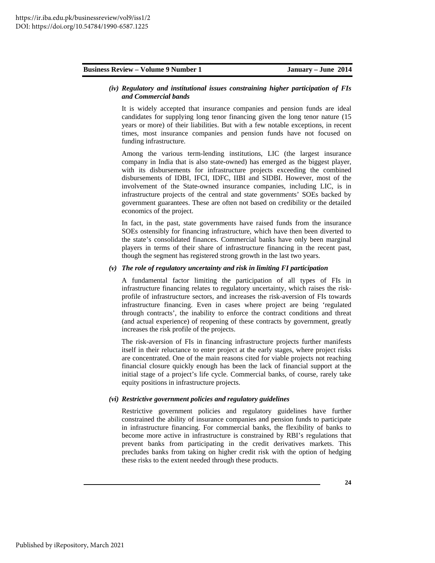#### *(iv) Regulatory and institutional issues constraining higher participation of FIs and Commercial bands*

 It is widely accepted that insurance companies and pension funds are ideal candidates for supplying long tenor financing given the long tenor nature (15 years or more) of their liabilities. But with a few notable exceptions, in recent times, most insurance companies and pension funds have not focused on funding infrastructure.

 Among the various term-lending institutions, LIC (the largest insurance company in India that is also state-owned) has emerged as the biggest player, with its disbursements for infrastructure projects exceeding the combined disbursements of IDBI, IFCI, IDFC, IIBI and SIDBI. However, most of the involvement of the State-owned insurance companies, including LIC, is in infrastructure projects of the central and state governments' SOEs backed by government guarantees. These are often not based on credibility or the detailed economics of the project.

 In fact, in the past, state governments have raised funds from the insurance SOEs ostensibly for financing infrastructure, which have then been diverted to the state's consolidated finances. Commercial banks have only been marginal players in terms of their share of infrastructure financing in the recent past, though the segment has registered strong growth in the last two years.

#### *(v) The role of regulatory uncertainty and risk in limiting FI participation*

 A fundamental factor limiting the participation of all types of FIs in infrastructure financing relates to regulatory uncertainty, which raises the riskprofile of infrastructure sectors, and increases the risk-aversion of FIs towards infrastructure financing. Even in cases where project are being 'regulated through contracts', the inability to enforce the contract conditions and threat (and actual experience) of reopening of these contracts by government, greatly increases the risk profile of the projects.

 The risk-aversion of FIs in financing infrastructure projects further manifests itself in their reluctance to enter project at the early stages, where project risks are concentrated. One of the main reasons cited for viable projects not reaching financial closure quickly enough has been the lack of financial support at the initial stage of a project's life cycle. Commercial banks, of course, rarely take equity positions in infrastructure projects.

#### *(vi) Restrictive government policies and regulatory guidelines*

 Restrictive government policies and regulatory guidelines have further constrained the ability of insurance companies and pension funds to participate in infrastructure financing. For commercial banks, the flexibility of banks to become more active in infrastructure is constrained by RBI's regulations that prevent banks from participating in the credit derivatives markets. This precludes banks from taking on higher credit risk with the option of hedging these risks to the extent needed through these products.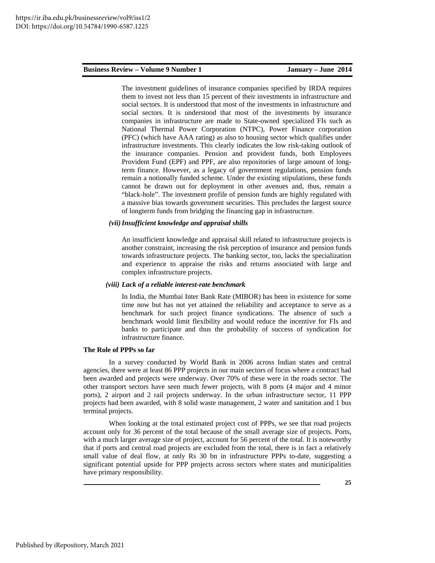The investment guidelines of insurance companies specified by IRDA requires them to invest not less than 15 percent of their investments in infrastructure and social sectors. It is understood that most of the investments in infrastructure and social sectors. It is understood that most of the investments by insurance companies in infrastructure are made to State-owned specialized FIs such as National Thermal Power Corporation (NTPC), Power Finance corporation (PFC) (which have AAA rating) as also to housing sector which qualifies under infrastructure investments. This clearly indicates the low risk-taking outlook of the insurance companies. Pension and provident funds, both Employees Provident Fund (EPF) and PPF, are also repositories of large amount of longterm finance. However, as a legacy of government regulations, pension funds remain a notionally funded scheme. Under the existing stipulations, these funds cannot be drawn out for deployment in other avenues and, thus, remain a "black-hole". The investment profile of pension funds are highly regulated with a massive bias towards government securities. This precludes the largest source of longterm funds from bridging the financing gap in infrastructure.

#### *(vii)Insufficient knowledge and appraisal shills*

 An insufficient knowledge and appraisal skill related to infrastructure projects is another constraint, increasing the risk perception of insurance and pension funds towards infrastructure projects. The banking sector, too, lacks the specialization and experience to appraise the risks and returns associated with large and complex infrastructure projects.

#### *(viii) Lack of a reliable interest-rate benchmark*

 In India, the Mumbai Inter Bank Rate (MIBOR) has been in existence for some time now but has not yet attained the reliability and acceptance to serve as a benchmark for such project finance syndications. The absence of such a benchmark would limit flexibility and would reduce the incentive for FIs and banks to participate and thus the probability of success of syndication for infrastructure finance.

#### **The Role of PPPs so far**

 In a survey conducted by World Bank in 2006 across Indian states and central agencies, there were at least 86 PPP projects in our main sectors of focus where a contract had been awarded and projects were underway. Over 70% of these were in the roads sector. The other transport sectors have seen much fewer projects, with 8 ports (4 major and 4 minor ports), 2 airport and 2 rail projects underway. In the urban infrastructure sector, 11 PPP projects had been awarded, with 8 solid waste management, 2 water and sanitation and 1 bus terminal projects.

When looking at the total estimated project cost of PPPs, we see that road projects account only for 36 percent of the total because of the small average size of projects. Ports, with a much larger average size of project, account for 56 percent of the total. It is noteworthy that if ports and central road projects are excluded from the total, there is in fact a relatively small value of deal flow, at only Rs 30 bn in infrastructure PPPs to-date, suggesting a significant potential upside for PPP projects across sectors where states and municipalities have primary responsibility.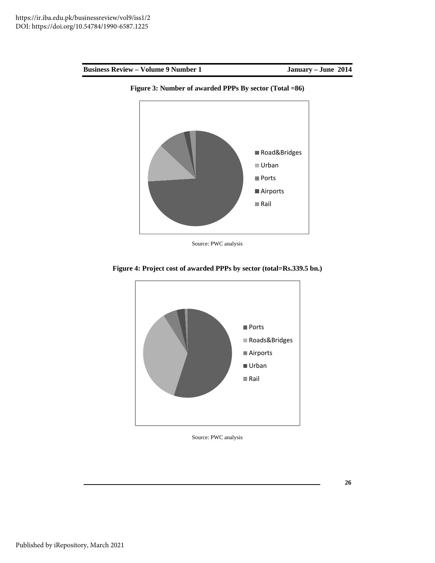



Source: PWC analysis



**Figure 4: Project cost of awarded PPPs by sector (total=Rs.339.5 bn.)** 

Source: PWC analysis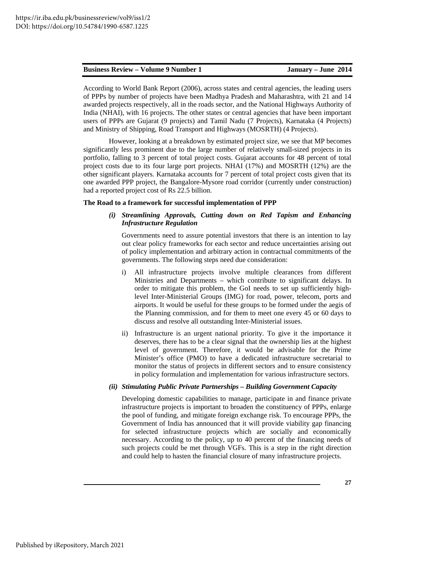According to World Bank Report (2006), across states and central agencies, the leading users of PPPs by number of projects have been Madhya Pradesh and Maharashtra, with 21 and 14 awarded projects respectively, all in the roads sector, and the National Highways Authority of India (NHAI), with 16 projects. The other states or central agencies that have been important users of PPPs are Gujarat (9 projects) and Tamil Nadu (7 Projects), Karnataka (4 Projects) and Ministry of Shipping, Road Transport and Highways (MOSRTH) (4 Projects).

 However, looking at a breakdown by estimated project size, we see that MP becomes significantly less prominent due to the large number of relatively small-sized projects in its portfolio, falling to 3 percent of total project costs. Gujarat accounts for 48 percent of total project costs due to its four large port projects. NHAI (17%) and MOSRTH (12%) are the other significant players. Karnataka accounts for 7 percent of total project costs given that its one awarded PPP project, the Bangalore-Mysore road corridor (currently under construction) had a reported project cost of Rs 22.5 billion.

#### **The Road to a framework for successful implementation of PPP**

*(i) Streamlining Approvals, Cutting down on Red Tapism and Enhancing Infrastructure Regulation* 

Governments need to assure potential investors that there is an intention to lay out clear policy frameworks for each sector and reduce uncertainties arising out of policy implementation and arbitrary action in contractual commitments of the governments. The following steps need due consideration:

- i) All infrastructure projects involve multiple clearances from different Ministries and Departments – which contribute to significant delays. In order to mitigate this problem, the GoI needs to set up sufficiently highlevel Inter-Ministerial Groups (IMG) for road, power, telecom, ports and airports. It would be useful for these groups to be formed under the aegis of the Planning commission, and for them to meet one every 45 or 60 days to discuss and resolve all outstanding Inter-Ministerial issues.
- ii) Infrastructure is an urgent national priority. To give it the importance it deserves, there has to be a clear signal that the ownership lies at the highest level of government. Therefore, it would be advisable for the Prime Minister's office (PMO) to have a dedicated infrastructure secretarial to monitor the status of projects in different sectors and to ensure consistency in policy formulation and implementation for various infrastructure sectors.

### *(ii) Stimulating Public Private Partnerships – Building Government Capacity*

Developing domestic capabilities to manage, participate in and finance private infrastructure projects is important to broaden the constituency of PPPs, enlarge the pool of funding, and mitigate foreign exchange risk. To encourage PPPs, the Government of India has announced that it will provide viability gap financing for selected infrastructure projects which are socially and economically necessary. According to the policy, up to 40 percent of the financing needs of such projects could be met through VGFs. This is a step in the right direction and could help to hasten the financial closure of many infrastructure projects.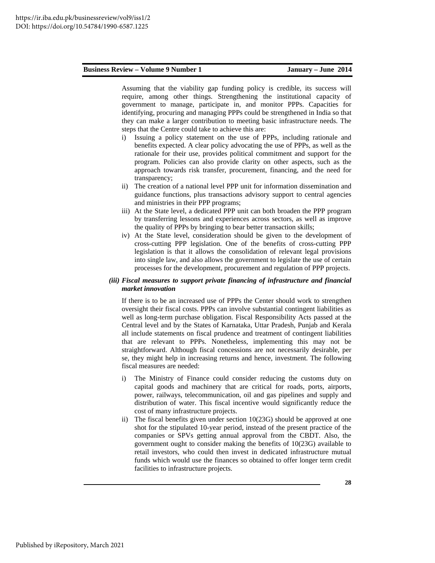Assuming that the viability gap funding policy is credible, its success will require, among other things. Strengthening the institutional capacity of government to manage, participate in, and monitor PPPs. Capacities for identifying, procuring and managing PPPs could be strengthened in India so that they can make a larger contribution to meeting basic infrastructure needs. The steps that the Centre could take to achieve this are:

- i) Issuing a policy statement on the use of PPPs, including rationale and benefits expected. A clear policy advocating the use of PPPs, as well as the rationale for their use, provides political commitment and support for the program. Policies can also provide clarity on other aspects, such as the approach towards risk transfer, procurement, financing, and the need for transparency;
- ii) The creation of a national level PPP unit for information dissemination and guidance functions, plus transactions advisory support to central agencies and ministries in their PPP programs;
- iii) At the State level, a dedicated PPP unit can both broaden the PPP program by transferring lessons and experiences across sectors, as well as improve the quality of PPPs by bringing to bear better transaction skills;
- iv) At the State level, consideration should be given to the development of cross-cutting PPP legislation. One of the benefits of cross-cutting PPP legislation is that it allows the consolidation of relevant legal provisions into single law, and also allows the government to legislate the use of certain processes for the development, procurement and regulation of PPP projects.

### *(iii) Fiscal measures to support private financing of infrastructure and financial market innovation*

If there is to be an increased use of PPPs the Center should work to strengthen oversight their fiscal costs. PPPs can involve substantial contingent liabilities as well as long-term purchase obligation. Fiscal Responsibility Acts passed at the Central level and by the States of Karnataka, Uttar Pradesh, Punjab and Kerala all include statements on fiscal prudence and treatment of contingent liabilities that are relevant to PPPs. Nonetheless, implementing this may not be straightforward. Although fiscal concessions are not necessarily desirable, per se, they might help in increasing returns and hence, investment. The following fiscal measures are needed:

- i) The Ministry of Finance could consider reducing the customs duty on capital goods and machinery that are critical for roads, ports, airports, power, railways, telecommunication, oil and gas pipelines and supply and distribution of water. This fiscal incentive would significantly reduce the cost of many infrastructure projects.
- ii) The fiscal benefits given under section 10(23G) should be approved at one shot for the stipulated 10-year period, instead of the present practice of the companies or SPVs getting annual approval from the CBDT. Also, the government ought to consider making the benefits of 10(23G) available to retail investors, who could then invest in dedicated infrastructure mutual funds which would use the finances so obtained to offer longer term credit facilities to infrastructure projects.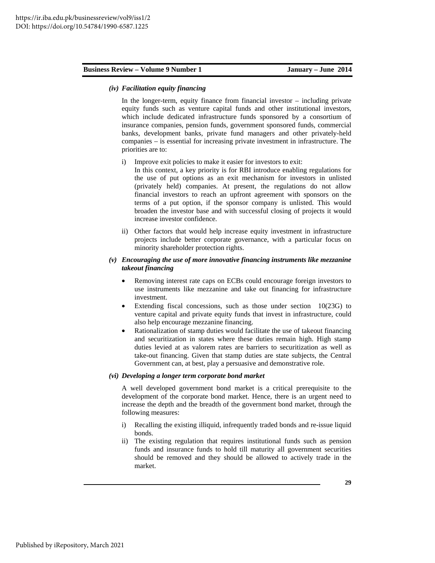#### *(iv) Facilitation equity financing*

In the longer-term, equity finance from financial investor – including private equity funds such as venture capital funds and other institutional investors, which include dedicated infrastructure funds sponsored by a consortium of insurance companies, pension funds, government sponsored funds, commercial banks, development banks, private fund managers and other privately-held companies – is essential for increasing private investment in infrastructure. The priorities are to:

i) Improve exit policies to make it easier for investors to exit:

In this context, a key priority is for RBI introduce enabling regulations for the use of put options as an exit mechanism for investors in unlisted (privately held) companies. At present, the regulations do not allow financial investors to reach an upfront agreement with sponsors on the terms of a put option, if the sponsor company is unlisted. This would broaden the investor base and with successful closing of projects it would increase investor confidence.

ii) Other factors that would help increase equity investment in infrastructure projects include better corporate governance, with a particular focus on minority shareholder protection rights.

#### *(v) Encouraging the use of more innovative financing instruments like mezzanine takeout financing*

- Removing interest rate caps on ECBs could encourage foreign investors to use instruments like mezzanine and take out financing for infrastructure investment.
- Extending fiscal concessions, such as those under section  $10(23G)$  to venture capital and private equity funds that invest in infrastructure, could also help encourage mezzanine financing.
- Rationalization of stamp duties would facilitate the use of takeout financing and securitization in states where these duties remain high. High stamp duties levied at as valorem rates are barriers to securitization as well as take-out financing. Given that stamp duties are state subjects, the Central Government can, at best, play a persuasive and demonstrative role.

#### *(vi) Developing a longer term corporate bond market*

A well developed government bond market is a critical prerequisite to the development of the corporate bond market. Hence, there is an urgent need to increase the depth and the breadth of the government bond market, through the following measures:

- i) Recalling the existing illiquid, infrequently traded bonds and re-issue liquid bonds.
- ii) The existing regulation that requires institutional funds such as pension funds and insurance funds to hold till maturity all government securities should be removed and they should be allowed to actively trade in the market.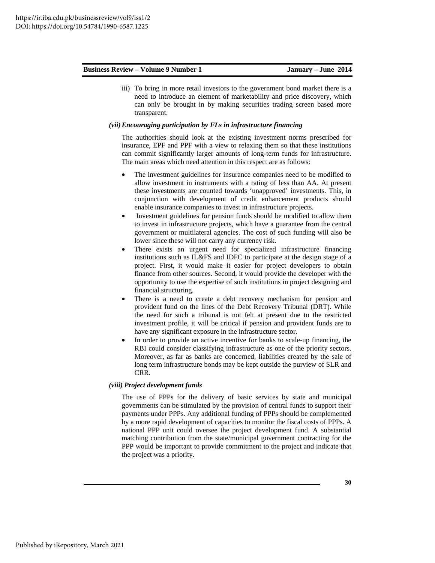iii) To bring in more retail investors to the government bond market there is a need to introduce an element of marketability and price discovery, which can only be brought in by making securities trading screen based more transparent.

#### *(vii)Encouraging participation by FLs in infrastructure financing*

The authorities should look at the existing investment norms prescribed for insurance, EPF and PPF with a view to relaxing them so that these institutions can commit significantly larger amounts of long-term funds for infrastructure. The main areas which need attention in this respect are as follows:

- The investment guidelines for insurance companies need to be modified to allow investment in instruments with a rating of less than AA. At present these investments are counted towards 'unapproved' investments. This, in conjunction with development of credit enhancement products should enable insurance companies to invest in infrastructure projects.
- Investment guidelines for pension funds should be modified to allow them to invest in infrastructure projects, which have a guarantee from the central government or multilateral agencies. The cost of such funding will also be lower since these will not carry any currency risk.
- There exists an urgent need for specialized infrastructure financing institutions such as IL&FS and IDFC to participate at the design stage of a project. First, it would make it easier for project developers to obtain finance from other sources. Second, it would provide the developer with the opportunity to use the expertise of such institutions in project designing and financial structuring.
- There is a need to create a debt recovery mechanism for pension and provident fund on the lines of the Debt Recovery Tribunal (DRT). While the need for such a tribunal is not felt at present due to the restricted investment profile, it will be critical if pension and provident funds are to have any significant exposure in the infrastructure sector.
- In order to provide an active incentive for banks to scale-up financing, the RBI could consider classifying infrastructure as one of the priority sectors. Moreover, as far as banks are concerned, liabilities created by the sale of long term infrastructure bonds may be kept outside the purview of SLR and CRR.

#### *(viii) Project development funds*

The use of PPPs for the delivery of basic services by state and municipal governments can be stimulated by the provision of central funds to support their payments under PPPs. Any additional funding of PPPs should be complemented by a more rapid development of capacities to monitor the fiscal costs of PPPs. A national PPP unit could oversee the project development fund. A substantial matching contribution from the state/municipal government contracting for the PPP would be important to provide commitment to the project and indicate that the project was a priority.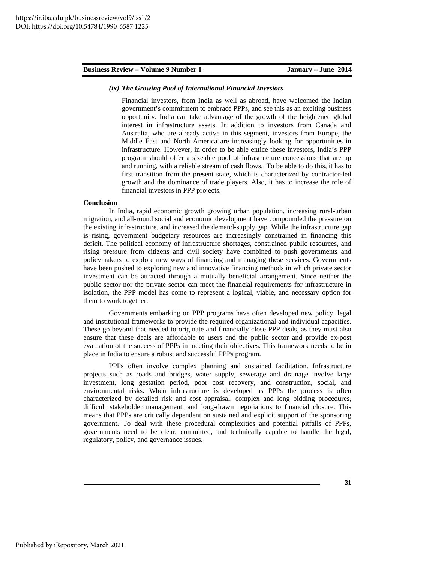#### *(ix) The Growing Pool of International Financial Investors*

Financial investors, from India as well as abroad, have welcomed the Indian government's commitment to embrace PPPs, and see this as an exciting business opportunity. India can take advantage of the growth of the heightened global interest in infrastructure assets. In addition to investors from Canada and Australia, who are already active in this segment, investors from Europe, the Middle East and North America are increasingly looking for opportunities in infrastructure. However, in order to be able entice these investors, India's PPP program should offer a sizeable pool of infrastructure concessions that are up and running, with a reliable stream of cash flows. To be able to do this, it has to first transition from the present state, which is characterized by contractor-led growth and the dominance of trade players. Also, it has to increase the role of financial investors in PPP projects.

### **Conclusion**

 In India, rapid economic growth growing urban population, increasing rural-urban migration, and all-round social and economic development have compounded the pressure on the existing infrastructure, and increased the demand-supply gap. While the infrastructure gap is rising, government budgetary resources are increasingly constrained in financing this deficit. The political economy of infrastructure shortages, constrained public resources, and rising pressure from citizens and civil society have combined to push governments and policymakers to explore new ways of financing and managing these services. Governments have been pushed to exploring new and innovative financing methods in which private sector investment can be attracted through a mutually beneficial arrangement. Since neither the public sector nor the private sector can meet the financial requirements for infrastructure in isolation, the PPP model has come to represent a logical, viable, and necessary option for them to work together.

 Governments embarking on PPP programs have often developed new policy, legal and institutional frameworks to provide the required organizational and individual capacities. These go beyond that needed to originate and financially close PPP deals, as they must also ensure that these deals are affordable to users and the public sector and provide ex-post evaluation of the success of PPPs in meeting their objectives. This framework needs to be in place in India to ensure a robust and successful PPPs program.

 PPPs often involve complex planning and sustained facilitation. Infrastructure projects such as roads and bridges, water supply, sewerage and drainage involve large investment, long gestation period, poor cost recovery, and construction, social, and environmental risks. When infrastructure is developed as PPPs the process is often characterized by detailed risk and cost appraisal, complex and long bidding procedures, difficult stakeholder management, and long-drawn negotiations to financial closure. This means that PPPs are critically dependent on sustained and explicit support of the sponsoring government. To deal with these procedural complexities and potential pitfalls of PPPs, governments need to be clear, committed, and technically capable to handle the legal, regulatory, policy, and governance issues.